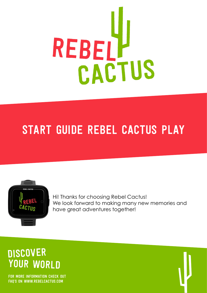

# Start guide Rebel Cactus Play



Hi! Thanks for choosing Rebel Cactus! We look forward to making many new memories and have great adventures together!

# **DISCOVER** YOUR WORLD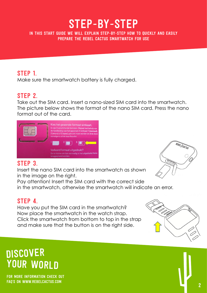# STep-by-steP

In this start guide we will explain step-by-step how to quickly and easily prepare the rebel cactus smartwatch for use

## STEP 1.

Make sure the smartwatch battery is fully charged.

## STEP 2.

Take out the SIM card. Insert a nano-sized SIM card into the smartwatch. The picture below shows the format of the nano SIM card. Press the nano format out of the card.



## STEP 3.

Insert the nano SIM card into the smartwatch as shown in the image on the right.

Pay attention! Insert the SIM card with the correct side in the smartwatch, otherwise the smartwatch will indicate an error.

## STEP 4.

Have you put the SIM card in the smartwatch? Now place the smartwatch in the watch strap. Click the smartwatch from bottom to top in the strap and make sure that the button is on the right side.

# **DISCOVER** YOUR WORLD



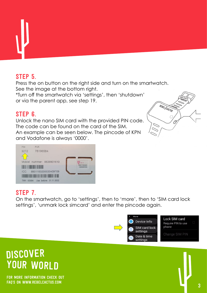

## STEP 5.

Press the on button on the right side and turn on the smartwatch. See the image at the bottom right.

\*Turn off the smartwatch via 'settings', then 'shutdown' or via the parent app, see step 19.

#### STEP 6.

Unlock the nano SIM card with the provided PIN code. The code can be found on the card of the SIM. An example can be seen below. The pincode of KPN and Vodafone is always '0000'.



# STEP 7.

On the smartwatch, go to 'settings', then to 'more', then to 'SIM card lock settings', 'unmark lock simcard' and enter the pincode again.





# **DISCOVER** Your world

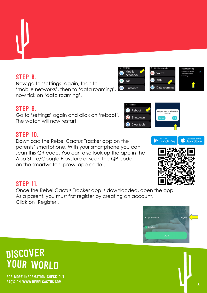

STEP 8. Now go to 'settings' again, then to 'mobile networks', then to 'data roaming', now tick on 'data roaming'.

#### STEP 9.

Go to 'settings' again and click on 'reboot'. The watch will now restart.

#### **STEP 10.**

Download the Rebel Cactus Tracker app on the parents' smartphone. With your smartphone you can scan this QR code. You can also look up the app in the App Store/Google Playstore or scan the QR code on the smartwatch, press 'app code'.

#### **STEP 11.**

Once the Rebel Cactus Tracker app is downloaded, open the app. As a parent, you must first register by creating an account. Click on 'Register'.

# **DISCOVER** YOUR WORLD











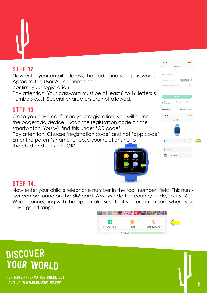## STEP 12

Now enter your email address, the code and your password. Agree to the User Agreement and confirm your registration.

Pay attention! Your password must be at least 8 to 16 letters & numbers exist. Special characters are not allowed.

### **STEP 13.**

Once you have confirmed your registration, you will enter the page'add device'. Scan the registration code on the smartwatch. You will find this under 'QR code'.

Pay attention! Choose 'registration code' and not 'app code'. Enter the parent's name, choose your relationship to the child and click on 'OK'.



| Register<br><b>Email Address</b><br>$2D2SDX$ C<br>Verification Code<br>8-16 alphanumeric password<br>$\circledcirc$<br><b>Register</b><br>I have read and agree User Agreement, Privacy<br>V<br>Agreement<br>Area: Europe and Africa<br>Language: English<br>14:037<br>$   \mathcal{F}   $<br>$\langle$<br>Add device<br>Please scan or input device ID<br><b>Basic Information</b><br>Nickname | 14.027 |  |  |
|-------------------------------------------------------------------------------------------------------------------------------------------------------------------------------------------------------------------------------------------------------------------------------------------------------------------------------------------------------------------------------------------------|--------|--|--|
|                                                                                                                                                                                                                                                                                                                                                                                                 |        |  |  |
|                                                                                                                                                                                                                                                                                                                                                                                                 |        |  |  |
|                                                                                                                                                                                                                                                                                                                                                                                                 |        |  |  |
|                                                                                                                                                                                                                                                                                                                                                                                                 |        |  |  |
|                                                                                                                                                                                                                                                                                                                                                                                                 |        |  |  |
|                                                                                                                                                                                                                                                                                                                                                                                                 |        |  |  |
|                                                                                                                                                                                                                                                                                                                                                                                                 |        |  |  |
|                                                                                                                                                                                                                                                                                                                                                                                                 |        |  |  |
|                                                                                                                                                                                                                                                                                                                                                                                                 |        |  |  |
|                                                                                                                                                                                                                                                                                                                                                                                                 |        |  |  |
|                                                                                                                                                                                                                                                                                                                                                                                                 |        |  |  |
|                                                                                                                                                                                                                                                                                                                                                                                                 |        |  |  |
|                                                                                                                                                                                                                                                                                                                                                                                                 |        |  |  |
|                                                                                                                                                                                                                                                                                                                                                                                                 |        |  |  |
|                                                                                                                                                                                                                                                                                                                                                                                                 |        |  |  |
|                                                                                                                                                                                                                                                                                                                                                                                                 |        |  |  |
|                                                                                                                                                                                                                                                                                                                                                                                                 |        |  |  |
|                                                                                                                                                                                                                                                                                                                                                                                                 |        |  |  |
|                                                                                                                                                                                                                                                                                                                                                                                                 |        |  |  |
|                                                                                                                                                                                                                                                                                                                                                                                                 |        |  |  |
|                                                                                                                                                                                                                                                                                                                                                                                                 |        |  |  |
| I am his Father                                                                                                                                                                                                                                                                                                                                                                                 |        |  |  |
|                                                                                                                                                                                                                                                                                                                                                                                                 |        |  |  |
|                                                                                                                                                                                                                                                                                                                                                                                                 |        |  |  |

#### **STEP 14.**

Now enter your child's telephone number in the 'call number' field. This number can be found on the SIM card. Always add the country code, so +31 6... When connecting with the app, make sure that you are in a room where you have good range.



# **DISCOVER** YOUR WORLD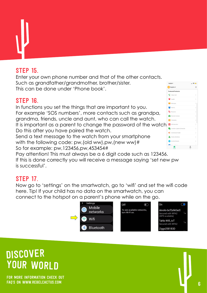## Step 15.

Enter your own phone number and that of the other contacts. Such as grandfather/grandmother, brother/sister. This can be done under 'Phone book'.

### Step 16.

In functions you set the things that are important to you. For example 'SOS numbers', more contacts such as grandpa, grandma, friends, uncle and aunt, who can call the watch. It is important as a parent to change the password of the watch. Do this after you have paired the watch.

Send a text message to the watch from your smartphone with the following code: pw, (old ww), pw, (new ww) # So for example: pw,123456,pw,453454#



Pay attention! This must always be a 6 digit code such as 123456. If this is done correctly you will receive a message saying 'set new pw is successful'.

## **STEP 17.**

Now go to 'settings' on the smartwatch, go to 'wifi' and set the wifi code here. Tip! If your child has no data on the smartwatch, you can connect to the hotspot on a parent's phone while on the go.



# **DISCOVER** Your world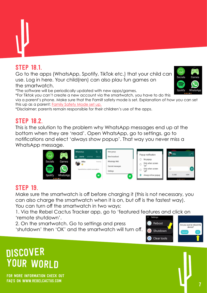## Step 18.1.

Go to the apps (WhatsApp, Spotify, TikTok etc.) that your child can use. Log in here. Your child(ren) can also plau fun games on the smartwatch.

\*The software will be periodically updated with new apps/games.

\*For Tiktok you can't create a new account via the smartwatch, you have to do this

via a parent's phone. Make sure that the Familt safety mode is set. Explanation of how you can set this up as a parent: [Family Safety Mode set up.](https://www.iphoned.nl/tips/tiktok-limiet-voor-kinderen/)

\*Disclaimer: parents remain responsible for their children's use of the apps.

#### Step 18.2.

This is the solution to the problem why WhatsApp messages end up at the bottom when they are 'read'. Open WhatsApp, go to settings, go to notifications and elect 'always show popup'. That way you never miss a WhatsApp message.



## **STEP 19.**

Make sure the smartwatch is off before charging it (this is not necessary, you can also charge the smartwatch when it is on, but off is the fastest way). You can turn off the smartwatch in two ways:

1. Via the Rebel Cactus Tracker app, go to 'featured features and click on 'remote shutdown'.

2. On the smartwatch. Go to settings and press

'shutdown' then 'OK' and the smartwatch will turn off.



# **DISCOVER** YOUR WORLD